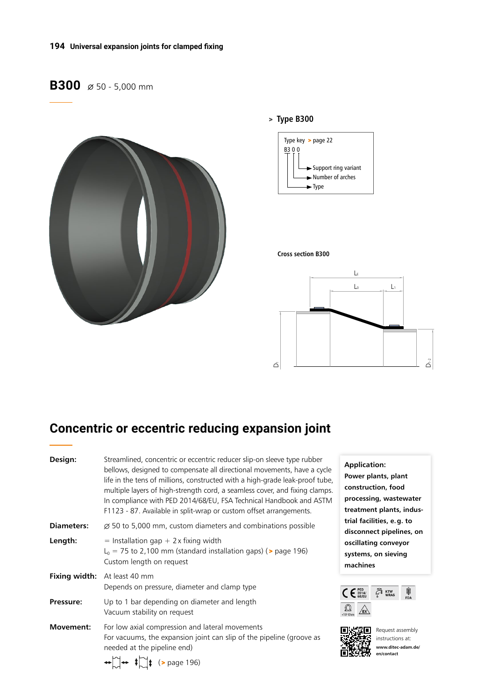### **194 Universal expansion joints for clamped fixing**

# **B300**  $\emptyset$  50 - 5,000 mm







#### **Cross section B300**



# **Concentric or eccentric reducing expansion joint**

| Design:           | Streamlined, concentric or eccentric reducer slip-on sleeve type rubber<br>bellows, designed to compensate all directional movements, have a cycle<br>life in the tens of millions, constructed with a high-grade leak-proof tube,<br>multiple layers of high-strength cord, a seamless cover, and fixing clamps.<br>In compliance with PED 2014/68/EU, FSA Technical Handbook and ASTM<br>F1123 - 87. Available in split-wrap or custom offset arrangements. |  |  |  |  |  |
|-------------------|---------------------------------------------------------------------------------------------------------------------------------------------------------------------------------------------------------------------------------------------------------------------------------------------------------------------------------------------------------------------------------------------------------------------------------------------------------------|--|--|--|--|--|
| <b>Diameters:</b> | $\varnothing$ 50 to 5,000 mm, custom diameters and combinations possible                                                                                                                                                                                                                                                                                                                                                                                      |  |  |  |  |  |
| Length:           | $=$ Installation gap + 2 x fixing width<br>$L_0$ = 75 to 2,100 mm (standard installation gaps) ( $>$ page 196)<br>Custom length on request                                                                                                                                                                                                                                                                                                                    |  |  |  |  |  |
| Fixing width:     | At least 40 mm<br>Depends on pressure, diameter and clamp type                                                                                                                                                                                                                                                                                                                                                                                                |  |  |  |  |  |
| Pressure:         | Up to 1 bar depending on diameter and length<br>Vacuum stability on request                                                                                                                                                                                                                                                                                                                                                                                   |  |  |  |  |  |
| Movement:         | For low axial compression and lateral movements<br>For vacuums, the expansion joint can slip of the pipeline (groove as<br>needed at the pipeline end)<br>$\bigoplus_{r=1}^{\infty}$ + $\bigoplus_{r=1}^{\infty}$ (> page 196)                                                                                                                                                                                                                                |  |  |  |  |  |







Request assembly instructions at: **www.ditec-adam.de/ en/contact**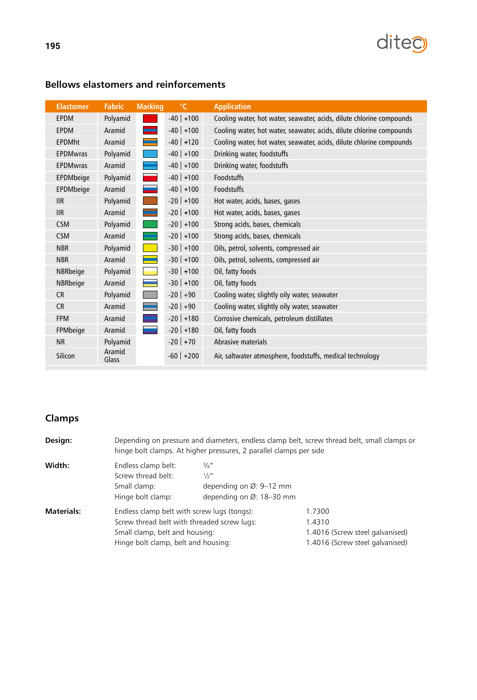

| <b>Elastomer</b> | <b>Fabric</b>   | <b>Marking</b>             | $\mathrm{C}$   | <b>Application</b>                                                   |
|------------------|-----------------|----------------------------|----------------|----------------------------------------------------------------------|
| <b>EPDM</b>      | Polyamid        |                            | $-40$ +100     | Cooling water, hot water, seawater, acids, dilute chlorine compounds |
| <b>EPDM</b>      | Aramid          |                            | $-40$ +100     | Cooling water, hot water, seawater, acids, dilute chlorine compounds |
| <b>EPDMht</b>    | Aramid          |                            | $-40$ +120     | Cooling water, hot water, seawater, acids, dilute chlorine compounds |
| <b>EPDMwras</b>  | Polyamid        |                            | $-40$ +100     | Drinking water, foodstuffs                                           |
| <b>EPDMwras</b>  | Aramid          |                            | $-40$ +100     | Drinking water, foodstuffs                                           |
| EPDMbeige        | Polyamid        |                            | $-40$ +100     | <b>Foodstuffs</b>                                                    |
| EPDMbeige        | Aramid          |                            | $-40$ +100     | Foodstuffs                                                           |
| <b>IIR</b>       | Polyamid        |                            | $-20$   $+100$ | Hot water, acids, bases, gases                                       |
| IIR              | Aramid          | $\mathcal{L}(\mathcal{A})$ | $-20$   $+100$ | Hot water, acids, bases, gases                                       |
| <b>CSM</b>       | Polyamid        |                            | $-20$ +100     | Strong acids, bases, chemicals                                       |
| <b>CSM</b>       | Aramid          |                            | $-20$   $+100$ | Strong acids, bases, chemicals                                       |
| <b>NBR</b>       | Polyamid        | <b>Service Service</b>     | $-30$   $+100$ | Oils, petrol, solvents, compressed air                               |
| <b>NBR</b>       | Aramid          |                            | $-30$ +100     | Oils, petrol, solvents, compressed air                               |
| NBRbeige         | Polyamid        |                            | $-30$ +100     | Oil, fatty foods                                                     |
| NBRbeige         | Aramid          |                            | $-30$ +100     | Oil, fatty foods                                                     |
| <b>CR</b>        | Polyamid        |                            | $-20$ +90      | Cooling water, slightly oily water, seawater                         |
| <b>CR</b>        | Aramid          |                            | $-20$ +90      | Cooling water, slightly oily water, seawater                         |
| <b>FPM</b>       | Aramid          |                            | $-20$ +180     | Corrosive chemicals, petroleum distillates                           |
| FPMbeige         | Aramid          |                            | $-20$   $+180$ | Oil, fatty foods                                                     |
| <b>NR</b>        | Polyamid        |                            | $-20$ +70      | Abrasive materials                                                   |
| Silicon          | Aramid<br>Glass |                            | $-60$ +200     | Air, saltwater atmosphere, foodstuffs, medical technology            |

## **Bellows elastomers and reinforcements**

# **Clamps**

| Design:           | Depending on pressure and diameters, endless clamp belt, screw thread belt, small clamps or<br>hinge bolt clamps. At higher pressures, 2 parallel clamps per side   |                                                                                                        |                                                                                        |  |
|-------------------|---------------------------------------------------------------------------------------------------------------------------------------------------------------------|--------------------------------------------------------------------------------------------------------|----------------------------------------------------------------------------------------|--|
| Width:            | Endless clamp belt:<br>Screw thread belt:<br>Small clamp:<br>Hinge bolt clamp:                                                                                      | $\frac{3}{4}$ "<br>$\frac{1}{2}$ "<br>depending on $\varnothing$ : 9-12 mm<br>depending on Ø: 18-30 mm |                                                                                        |  |
| <b>Materials:</b> | Endless clamp belt with screw lugs (tongs):<br>Screw thread belt with threaded screw lugs:<br>Small clamp, belt and housing:<br>Hinge bolt clamp, belt and housing: |                                                                                                        | 1.7300<br>1.4310<br>1.4016 (Screw steel galvanised)<br>1.4016 (Screw steel galvanised) |  |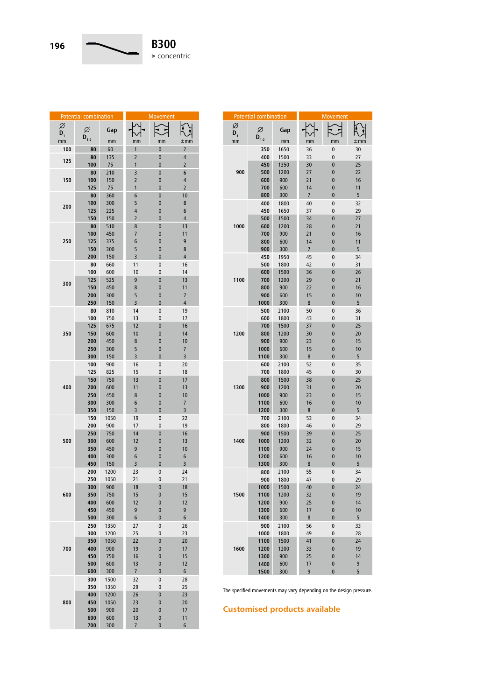

| Potential combination |            |              | <b>Movement</b> |               |                |  |
|-----------------------|------------|--------------|-----------------|---------------|----------------|--|
| Ø<br>$D_{1}$          | Ø          | Gap          |                 |               |                |  |
| mm                    | $D_{1-2}$  | mm           | mm              | mm            | ±mm            |  |
| 100                   | 80         | 60           | 1               | $\bf{0}$      | 2              |  |
| 125                   | 80         | 135          | $\overline{2}$  | $\bf{0}$      | 4              |  |
|                       | 100        | 75           | 1               | $\bf{0}$      | $\overline{2}$ |  |
|                       | 80         | 210          | 3               | $\bf{0}$      | 6              |  |
| 150                   | 100        | 150          | $\overline{2}$  | 0             | 4              |  |
|                       | 125        | 75           | 1               | 0             | $\overline{2}$ |  |
|                       | 80<br>100  | 360<br>300   | 6<br>5          | $\bf{0}$<br>0 | 10<br>8        |  |
| 200                   | 125        | 225          | 4               | 0             | 6              |  |
|                       | 150        | 150          | $\overline{2}$  | $\bf{0}$      | 4              |  |
|                       | 80         | 510          | 8               | 0             | 13             |  |
|                       | 100        | 450          | 7               | 0             | 11             |  |
| 250                   | 125        | 375          | 6               | 0             | 9              |  |
|                       | 150        | 300          | 5               | 0             | 8              |  |
|                       | 200        | 150          | 3               | 0             | 4              |  |
|                       | 80         | 660          | 11              | 0             | 16             |  |
|                       | 100<br>125 | 600<br>525   | 10<br>9         | 0<br>$\bf{0}$ | 14<br>13       |  |
| 300                   | 150        | 450          | 8               | 0             | 11             |  |
|                       | 200        | 300          | 5               | 0             | 7              |  |
|                       | 250        | 150          | 3               | 0             | 4              |  |
|                       | 80         | 810          | 14              | 0             | 19             |  |
|                       | 100        | 750          | 13              | 0             | 17             |  |
|                       | 125        | 675          | 12              | $\bf{0}$      | 16             |  |
| 350                   | 150        | 600          | 10              | 0             | 14             |  |
|                       | 200        | 450          | 8               | 0             | 10             |  |
|                       | 250<br>300 | 300<br>150   | 5<br>3          | 0<br>0        | 7<br>3         |  |
|                       | 100        | 900          | 16              | 0             | 20             |  |
|                       | 125        | 825          | 15              | 0             | 18             |  |
|                       | 150        | 750          | 1 <sup>3</sup>  | $\bf{0}$      | 17             |  |
| 400                   | 200        | 600          | 11              | 0             | 13             |  |
|                       | 250        | 450          | 8               | 0             | 10             |  |
|                       | 300        | 300          | 6               | 0             | 7              |  |
|                       | 350<br>150 | 150<br>1050  | 3<br>19         | $\bf{0}$<br>0 | 3<br>22        |  |
|                       | 200        | 900          | 17              | 0             | 19             |  |
|                       | 250        | 750          | 14              | $\bf{0}$      | 16             |  |
| 500                   | 300        | 600          | 12              | 0             | 13             |  |
|                       | 350        | 450          | 9               | $\bf{0}$      | 10             |  |
|                       | 400        | 300          | 6               | 0             | 6              |  |
|                       | 450        | 150          | 3               | $\bf{0}$      | 3              |  |
|                       | 200<br>250 | 1200<br>1050 | 23<br>21        | 0<br>0        | 24<br>21       |  |
|                       | 300        | 900          | 18              | $\bf{0}$      | 18             |  |
| 600                   | 350        | 750          | 15              | 0             | 15             |  |
|                       | 400        | 600          | 12              | 0             | 12             |  |
|                       | 450        | 450          | 9               | 0             | 9              |  |
|                       | 500        | 300          | 6               | $\mathbf{0}$  | 6              |  |
|                       | 250<br>300 | 1350<br>1200 | 27<br>25        | 0<br>0        | 26<br>23       |  |
|                       | 350        | 1050         | 22              | 0             | 20             |  |
| 700                   | 400        | 900          | 19              | 0             | 17             |  |
|                       | 450        | 750          | 16              | 0             | 15             |  |
|                       | 500        | 600          | 13              | 0             | 12             |  |
|                       | 600        | 300          | 7               | 0             | 6              |  |
|                       | 300        | 1500         | 32              | 0             | 28             |  |
|                       | 350<br>400 | 1350<br>1200 | 29<br>26        | 0<br>$\bf{0}$ | 25<br>23       |  |
| 800                   | 450        | 1050         | 23              | 0             | 20             |  |
|                       | 500        | 900          | 20              | 0             | 17             |  |
|                       | 600        | 600          | 13              | 0             | 11             |  |
|                       | 700        | 300          | $\overline{7}$  | $\bf{0}$      | 6              |  |

| <b>Potential combination</b> |                |              | Movement             |                |          |  |
|------------------------------|----------------|--------------|----------------------|----------------|----------|--|
| Ø<br>$\mathsf{D}_1$          | Ø<br>$D_{1-2}$ | Gap          |                      |                |          |  |
| mm                           |                | mm           | mm                   | mm             | $\pm$ mm |  |
|                              | 350            | 1650         | 36                   | 0              | 30       |  |
|                              | 400            | 1500         | 33                   | 0              | 27       |  |
|                              | 450            | 1350         | 30                   | $\mathbf{0}$   | 25       |  |
| 900                          | 500            | 1200         | 27                   | 0              | 22       |  |
|                              | 600            | 900          | 21                   | 0              | 16       |  |
|                              | 700            | 600          | 14                   | 0              | 11       |  |
|                              | 800            | 300          | $\overline{7}$       | $\overline{0}$ | 5        |  |
|                              | 400            | 1800         | 40                   | 0              | 32       |  |
|                              | 450            | 1650         | 37                   | 0              | 29       |  |
| 1000                         | 500            | 1500         | 34                   | $\mathbf{0}$   | 27       |  |
|                              | 600            | 1200         | 28                   | 0              | 21       |  |
|                              | 700            | 900          | 21                   | 0              | 16       |  |
|                              | 800<br>900     | 600<br>300   | 14<br>$\overline{7}$ | 0<br>0         | 11<br>5  |  |
|                              | 450            |              |                      |                | 34       |  |
|                              | 500            | 1950<br>1800 | 45<br>42             | 0<br>0         | 31       |  |
|                              | 600            | 1500         | 36                   | 0              | 26       |  |
| 1100                         | 700            | 1200         | 29                   | 0              | 21       |  |
|                              | 800            | 900          | 22                   | 0              | 16       |  |
|                              | 900            | 600          | 15                   | 0              | 10       |  |
|                              | 1000           | 300          | 8                    | $\overline{0}$ | 5        |  |
|                              | 500            | 2100         | 50                   | 0              | 36       |  |
|                              | 600            | 1800         | 43                   | 0              | 31       |  |
|                              | 700            | 1500         | 37                   | 0              | 25       |  |
| 1200                         | 800            | 1200         | 30                   | 0              | 20       |  |
|                              | 900            | 900          | 23                   | 0              | 15       |  |
|                              | 1000           | 600          | 15                   | 0              | 10       |  |
|                              | 1100           | 300          | 8                    | 0              | 5        |  |
|                              | 600            | 2100         | 52                   | 0              | 35       |  |
|                              | 700            | 1800         | 45                   | 0              | 30       |  |
|                              | 800            | 1500         | 38                   | 0              | 25       |  |
| 1300                         | 900            | 1200         | 31                   | 0              | 20       |  |
|                              | 1000           | 900          | 23                   | 0              | 15       |  |
|                              | 1100           | 600          | 16                   | 0              | 10       |  |
|                              | 1200           | 300          | 8                    | $\overline{0}$ | 5        |  |
|                              | 700            | 2100         | 53                   | 0              | 34       |  |
|                              | 800            | 1800         | 46                   | 0              | 29       |  |
|                              | 900            | 1500         | 39                   | 0              | 25       |  |
| 1400                         | 1000           | 1200         | 32                   | 0              | 20       |  |
|                              | 1100           | 900          | 24                   | 0              | 15       |  |
|                              | 1200           | 600          | 16                   | 0              | 10       |  |
|                              | 1300           | 300          | 8                    | 0              | 5        |  |
|                              | 800            | 2100         | 55                   | 0              | 34       |  |
|                              | 900            | 1800         | 47                   | 0              | 29       |  |
|                              | 1000           | 1500         | 40                   | $\mathbf{0}$   | 24       |  |
| 1500                         | 1100           | 1200<br>900  | 32<br>25             | $\bf{0}$<br>0  | 19<br>14 |  |
|                              | 1200<br>1300   |              |                      |                |          |  |
|                              | 1400           | 600<br>300   | 17<br>8              | $\bf{0}$<br>0  | 10<br>5  |  |
|                              | 900            | 2100         | 56                   | 0              | 33       |  |
|                              | 1000           | 1800         | 49                   | $\mathbf{0}$   | 28       |  |
|                              | 1100           | 1500         | 41                   | $\bf{0}$       | 24       |  |
| 1600                         | 1200           | 1200         | 33                   | $\bf{0}$       | 19       |  |
|                              | 1300           | 900          | 25                   | 0              | 14       |  |
|                              | 1400           | 600          | 17                   | $\bf{0}$       | 9        |  |
|                              | 1500           | 300          | 9                    | 0              | 5        |  |
|                              |                |              |                      |                |          |  |

The specified movements may vary depending on the design pressure.

**Customised products available**